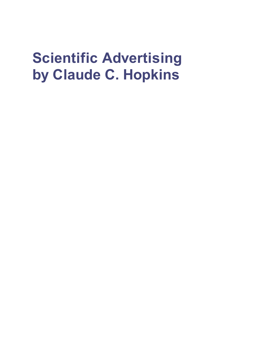# **Scientific Advertising by Claude C. Hopkins**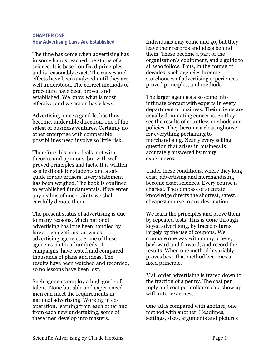# **CHAPTER ONE: How Advertising Laws Are Established**

The time has come when advertising has in some hands reached the status of a science. It is based on fixed principles and is reasonably exact. The causes and effects have been analyzed until they are well understood. The correct methods of procedure have been proved and established. We know what is most effective, and we act on basic laws.

Advertising, once a gamble, has thus become, under able direction, one of the safest of business ventures. Certainly no other enterprise with comparable possibilities need involve so little risk.

Therefore this book deals, not with theories and opinions, but with wellproved principles and facts. It is written as a textbook for students and a safe guide for advertisers. Every statement has been weighed. The book is confined to established fundamentals. If we enter any realms of uncertainty we shall carefully denote them.

The present status of advertising is due to many reasons. Much national advertising has long been handled by large organizations known as advertising agencies. Some of these agencies, in their hundreds of campaigns, have tested and compared thousands of plans and ideas. The results have been watched and recorded, so no lessons have been lost.

Such agencies employ a high grade of talent. None but able and experienced men can meet the requirements in national advertising. Working in cooperation, learning from each other and from each new undertaking, some of these men develop into masters.

Individuals may come and go, but they leave their records and ideas behind them. These become a part of the organization's equipment, and a guide to all who follow. Thus, in the course of decades, such agencies become storehouses of advertising experiences, proved principles, and methods.

The larger agencies also come into intimate contact with experts in every department of business. Their clients are usually dominating concerns. So they see the results of countless methods and policies. They become a clearinghouse for everything pertaining to merchandising. Nearly every selling question that arises in business is accurately answered by many experiences.

Under these conditions, where they long exist, advertising and merchandising become exact sciences. Every course is charted. The compass of accurate knowledge directs the shortest, safest, cheapest course to any destination.

We learn the principles and prove them by repeated tests. This is done through keyed advertising, by traced returns, largely by the use of coupons. We compare one way with many others, backward and forward, and record the results. When one method invariably proves best, that method becomes a fixed principle.

Mail order advertising is traced down to the fraction of a penny. The cost per reply and cost per dollar of sale show up with utter exactness.

One ad is compared with another, one method with another. Headlines, settings, sizes, arguments and pictures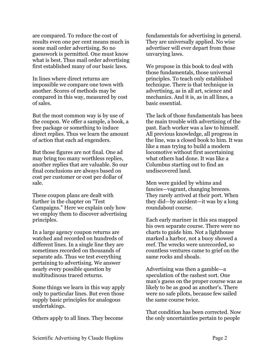are compared. To reduce the cost of results even one per cent means much in some mail order advertising. So no guesswork is permitted. One must know what is best. Thus mail order advertising first established many of our basic laws.

In lines where direct returns are impossible we compare one town with another. Scores of methods may be compared in this way, measured by cost of sales.

But the most common way is by use of the coupon. We offer a sample, a book, a free package or something to induce direct replies. Thus we learn the amount of action that each ad engenders.

But those figures are not final. One ad may bring too many worthless replies, another replies that are valuable. So our final conclusions are always based on cost per customer or cost per dollar of sale.

These coupon plans are dealt with further in the chapter on "Test Campaigns." Here we explain only how we employ them to discover advertising principles.

In a large agency coupon returns are watched and recorded on hundreds of different lines. In a single line they are sometimes recorded on thousands of separate ads. Thus we test everything pertaining to advertising. We answer nearly every possible question by multitudinous traced returns.

Some things we learn in this way apply only to particular lines. But even those supply basic principles for analogous undertakings.

Others apply to all lines. They become

fundamentals for advertising in general. They are universally applied. No wise advertiser will ever depart from those unvarying laws.

We propose in this book to deal with those fundamentals, those universal principles. To teach only established technique. There is that technique in advertising, as in all art, science and mechanics. And it is, as in all lines, a basic essential.

The lack of those fundamentals has been the main trouble with advertising of the past. Each worker was a law to himself. All previous knowledge, all progress in the line, was a closed book to him. It was like a man trying to build a modern locomotive without first ascertaining what others had done. It was like a Columbus starting out to find an undiscovered land.

Men were guided by whims and fancies—vagrant, changing breezes. They rarely arrived at their port. When they did—by accident—it was by a long roundabout course.

Each early mariner in this sea mapped his own separate course. There were no charts to guide him. Not a lighthouse marked a harbor, not a buoy showed a reef. The wrecks were unrecorded, so countless ventures came to grief on the same rocks and shoals.

Advertising was then a gamble—a speculation of the rashest sort. One man's guess on the proper course was as likely to be as good as another's. There were no safe pilots, because few sailed the same course twice.

That condition has been corrected. Now the only uncertainties pertain to people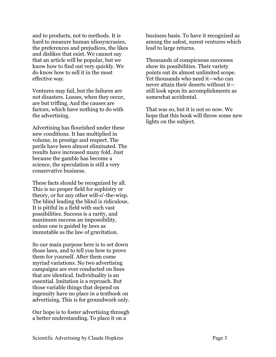and to products, not to methods. It is hard to measure human idiosyncrasies, the preferences and prejudices, the likes and dislikes that exist. We cannot say that an article will be popular, but we know how to find out very quickly. We do know how to sell it in the most effective way.

Ventures may fail, but the failures are not disasters. Losses, when they occur, are but trifling. And the causes are factors, which have nothing to do with the advertising.

Advertising has flourished under these new conditions. It has multiplied in volume, in prestige and respect. The perils have been almost eliminated. The results have increased many fold. Just because the gamble has become a science, the speculation is still a very conservative business.

These facts should be recognized by all. This is no proper field for sophistry or theory, or for any other will-o'-the-wisp. The blind leading the blind is ridiculous. It is pitiful in a field with such vast possibilities. Success is a rarity, and maximum success an impossibility, unless one is guided by laws as immutable as the law of gravitation.

So our main purpose here is to set down those laws, and to tell you how to prove them for yourself. After them come myriad variations. No two advertising campaigns are ever conducted on lines that are identical. Individuality is an essential. Imitation is a reproach. But those variable things that depend on ingenuity have no place in a textbook on advertising. This is for groundwork only.

Our hope is to foster advertising through a better understanding. To place it on a

business basis. To have it recognized as among the safest, surest ventures which lead to large returns.

Thousands of conspicuous successes show its possibilities. Their variety points out its almost unlimited scope. Yet thousands who need it—who can never attain their deserts without it still look upon its accomplishments as somewhat accidental.

That was so, but it is not so now. We hope that this book will throw some new lights on the subject.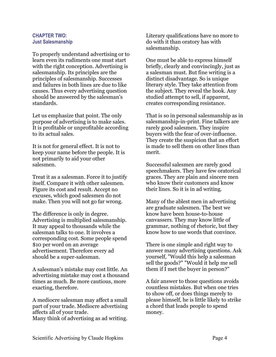# **CHAPTER TWO: Just Salesmanship**

To properly understand advertising or to learn even its rudiments one must start with the right conception. Advertising is salesmanship. Its principles are the principles of salesmanship. Successes and failures in both lines are due to like causes. Thus every advertising question should be answered by the salesman's standards.

Let us emphasize that point. The only purpose of advertising is to make sales. It is profitable or unprofitable according to its actual sales.

It is not for general effect. It is not to keep your name before the people. It is not primarily to aid your other salesmen.

Treat it as a salesman. Force it to justify itself. Compare it with other salesmen. Figure its cost and result. Accept no excuses, which good salesmen do not make. Then you will not go far wrong.

The difference is only in degree. Advertising is multiplied salesmanship. It may appeal to thousands while the salesman talks to one. It involves a corresponding cost. Some people spend \$10 per word on an average advertisement. Therefore every ad should be a super-salesman.

A salesman's mistake may cost little. An advertising mistake may cost a thousand times as much. Be more cautious, more exacting, therefore.

A mediocre salesman may affect a small part of your trade. Mediocre advertising affects all of your trade. Many think of advertising as ad writing.

Literary qualifications have no more to do with it than oratory has with salesmanship.

One must be able to express himself briefly, clearly and convincingly, just as a salesman must. But fine writing is a distinct disadvantage. So is unique literary style. They take attention from the subject. They reveal the hook. Any studied attempt to sell, if apparent, creates corresponding resistance.

That is so in personal salesmanship as in salesmanship-in-print. Fine talkers are rarely good salesmen. They inspire buyers with the fear of over-influence. They create the suspicion that an effort is made to sell them on other lines than merit.

Successful salesmen are rarely good speechmakers. They have few oratorical graces. They are plain and sincere men who know their customers and know their lines. So it is in ad writing.

Many of the ablest men in advertising are graduate salesmen. The best we know have been house-to-house canvassers. They may know little of grammar, nothing of rhetoric, but they know how to use words that convince.

There is one simple and right way to answer many advertising questions. Ask yourself, "Would this help a salesman sell the goods?" "Would it help me sell them if I met the buyer in person?"

A fair answer to those questions avoids countless mistakes. But when one tries to show off, or does things merely to please himself, he is little likely to strike a chord that leads people to spend money.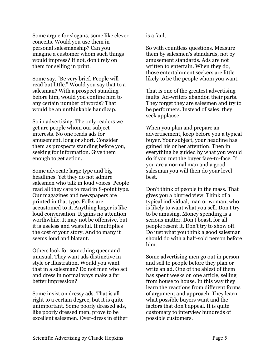Some argue for slogans, some like clever conceits. Would you use them in personal salesmanship? Can you imagine a customer whom such things would impress? If not, don't rely on them for selling in print.

Some say, "Be very brief. People will read but little." Would you say that to a salesman? With a prospect standing before him, would you confine him to any certain number of words? That would be an unthinkable handicap.

So in advertising. The only readers we get are people whom our subject interests. No one reads ads for amusement, long or short. Consider them as prospects standing before you, seeking for information. Give them enough to get action.

Some advocate large type and big headlines. Yet they do not admire salesmen who talk in loud voices. People read all they care to read in 8-point type. Our magazines and newspapers are printed in that type. Folks are accustomed to it. Anything larger is like loud conversation. It gains no attention worthwhile. It may not be offensive, but it is useless and wasteful. It multiplies the cost of your story. And to many it seems loud and blatant.

Others look for something queer and unusual. They want ads distinctive in style or illustration. Would you want that in a salesman? Do not men who act and dress in normal ways make a far better impression?

Some insist on dressy ads. That is all right to a certain degree, but it is quite unimportant. Some poorly dressed ads, like poorly dressed men, prove to be excellent salesmen. Over-dress in either is a fault.

So with countless questions. Measure them by salesmen's standards, not by amusement standards. Ads are not written to entertain. When they do, those entertainment seekers are little likely to be the people whom you want.

That is one of the greatest advertising faults. Ad-writers abandon their parts. They forget they are salesmen and try to be performers. Instead of sales, they seek applause.

When you plan and prepare an advertisement, keep before you a typical buyer. Your subject, your headline has gained his or her attention. Then in everything be guided by what you would do if you met the buyer face-to-face. If you are a normal man and a good salesman you will then do your level best.

Don't think of people in the mass. That gives you a blurred view. Think of a typical individual, man or woman, who is likely to want what you sell. Don't try to be amusing. Money spending is a serious matter. Don't boast, for all people resent it. Don't try to show off. Do just what you think a good salesman should do with a half-sold person before him.

Some advertising men go out in person and sell to people before they plan or write an ad. One of the ablest of them has spent weeks on one article, selling from house to house. In this way they learn the reactions from different forms of argument and approach. They learn what possible buyers want and the factors that don't appeal. It is quite customary to interview hundreds of possible customers.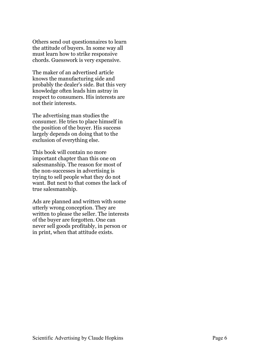Others send out questionnaires to learn the attitude of buyers. In some way all must learn how to strike responsive chords. Guesswork is very expensive.

The maker of an advertised article knows the manufacturing side and probably the dealer's side. But this very knowledge often leads him astray in respect to consumers. His interests are not their interests.

The advertising man studies the consumer. He tries to place himself in the position of the buyer. His success largely depends on doing that to the exclusion of everything else.

This book will contain no more important chapter than this one on salesmanship. The reason for most of the non-successes in advertising is trying to sell people what they do not want. But next to that comes the lack of true salesmanship.

Ads are planned and written with some utterly wrong conception. They are written to please the seller. The interests of the buyer are forgotten. One can never sell goods profitably, in person or in print, when that attitude exists.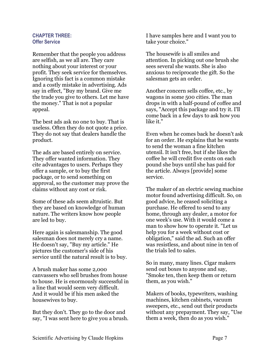### **CHAPTER THREE: Offer Service**

Remember that the people you address are selfish, as we all are. They care nothing about your interest or your profit. They seek service for themselves. Ignoring this fact is a common mistake and a costly mistake in advertising. Ads say in effect, "Buy my brand. Give me the trade you give to others. Let me have the money." That is not a popular appeal.

The best ads ask no one to buy. That is useless. Often they do not quote a price. They do not say that dealers handle the product.

The ads are based entirely on service. They offer wanted information. They cite advantages to users. Perhaps they offer a sample, or to buy the first package, or to send something on approval, so the customer may prove the claims without any cost or risk.

Some of these ads seem altruistic. But they are based on knowledge of human nature. The writers know how people are led to buy.

Here again is salesmanship. The good salesman does not merely cry a name. He doesn't say, "Buy my article." He pictures the customer's side of his service until the natural result is to buy.

A brush maker has some 2,000 canvassers who sell brushes from house to house. He is enormously successful in a line that would seem very difficult. And it would be if his men asked the housewives to buy.

But they don't. They go to the door and say, "I was sent here to give you a brush.

I have samples here and I want you to take your choice."

The housewife is all smiles and attention. In picking out one brush she sees several she wants. She is also anxious to reciprocate the gift. So the salesman gets an order.

Another concern sells coffee, etc., by wagons in some 500 cities. The man drops in with a half-pound of coffee and says, "Accept this package and try it. I'll come back in a few days to ask how you like it."

Even when he comes back he doesn't ask for an order. He explains that he wants to send the woman a fine kitchen utensil. It isn't free, but if she likes the coffee he will credit five cents on each pound she buys until she has paid for the article. Always [provide] some service.

The maker of an electric sewing machine motor found advertising difficult. So, on good advice, he ceased soliciting a purchase. He offered to send to any home, through any dealer, a motor for one week's use. With it would come a man to show how to operate it. "Let us help you for a week without cost or obligation," said the ad. Such an offer was resistless, and about nine in ten of the trials led to sales.

So in many, many lines. Cigar makers send out boxes to anyone and say, "Smoke ten, then keep them or return them, as you wish."

Makers of books, typewriters, washing machines, kitchen cabinets, vacuum sweepers, etc., send out their products without any prepayment. They say, "Use them a week, then do as you wish."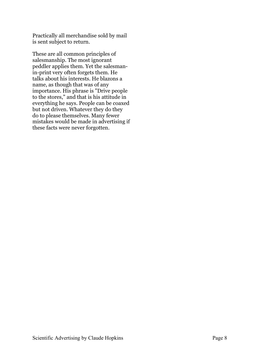Practically all merchandise sold by mail is sent subject to return.

These are all common principles of salesmanship. The most ignorant peddler applies them. Yet the salesmanin-print very often forgets them. He talks about his interests. He blazons a name, as though that was of any importance. His phrase is "Drive people to the stores," and that is his attitude in everything he says. People can be coaxed but not driven. Whatever they do they do to please themselves. Many fewer mistakes would be made in advertising if these facts were never forgotten.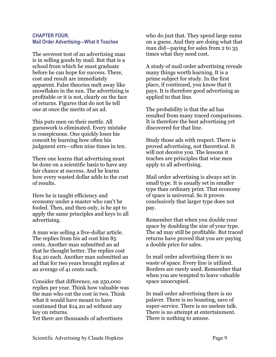# **CHAPTER FOUR: Mail Order Advertising—What It Teaches**

The severest test of an advertising man is in selling goods by mail. But that is a school from which he must graduate before he can hope for success. There, cost and result are immediately apparent. False theories melt away like snowflakes in the sun. The advertising is profitable or it is not, clearly on the face of returns. Figures that do not lie tell one at once the merits of an ad.

This puts men on their mettle. All guesswork is eliminated. Every mistake is conspicuous. One quickly loses his conceit by learning how often his judgment errs—often nine times in ten.

There one learns that advertising must be done on a scientific basis to have any fair chance at success. And he learns how every wasted dollar adds to the cost of results.

Here he is taught efficiency and economy under a master who can't be fooled. Then, and then only, is he apt to apply the same principles and keys to all advertising.

A man was selling a five-dollar article. The replies from his ad cost him 85 cents. Another man submitted an ad that he thought better. The replies cost \$14.20 each. Another man submitted an ad that for two years brought replies at an average of 41 cents each.

Consider that difference, on 250,000 replies per year. Think how valuable was the man who cut the cost in two. Think what it would have meant to have continued that \$14.20 ad without any key on returns.

Yet there are thousands of advertisers

who do just that. They spend large sums on a guess. And they are doing what that man did—paying for sales from 2 to 35 times what they need cost.

A study of mail order advertising reveals many things worth learning. It is a prime subject for study. In the first place, if continued, you know that it pays. It is therefore good advertising as applied to that line.

The probability is that the ad has resulted from many traced comparisons. It is therefore the best advertising yet discovered for that line.

Study those ads with respect. There is proved advertising, not theoretical. It will not deceive you. The lessons it teaches are principles that wise men apply to all advertising.

Mail order advertising is always set in small type. It is usually set in smaller type than ordinary print. That economy of space is universal. So it proves conclusively that larger type does not pay.

Remember that when you double your space by doubling the size of your type. The ad may still be profitable. But traced returns have proved that you are paying a double price for sales.

In mail order advertising there is no waste of space. Every line is utilized. Borders are rarely used. Remember that when you are tempted to leave valuable space unoccupied.

In mail order advertising there is no palaver. There is no boasting, save of super-service. There is no useless talk. There is no attempt at entertainment. There is nothing to amuse.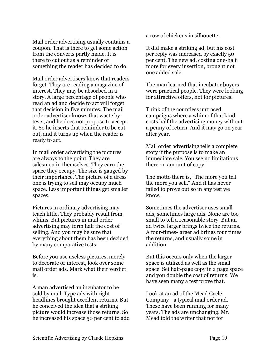Mail order advertising usually contains a coupon. That is there to get some action from the converts partly made. It is there to cut out as a reminder of something the reader has decided to do.

Mail order advertisers know that readers forget. They are reading a magazine of interest. They may be absorbed in a story. A large percentage of people who read an ad and decide to act will forget that decision in five minutes. The mail order advertiser knows that waste by tests, and he does not propose to accept it. So he inserts that reminder to be cut out, and it turns up when the reader is ready to act.

In mail order advertising the pictures are always to the point. They are salesmen in themselves. They earn the space they occupy. The size is gauged by their importance. The picture of a dress one is trying to sell may occupy much space. Less important things get smaller spaces.

Pictures in ordinary advertising may teach little. They probably result from whims. But pictures in mail order advertising may form half the cost of selling. And you may be sure that everything about them has been decided by many comparative tests.

Before you use useless pictures, merely to decorate or interest, look over some mail order ads. Mark what their verdict is.

A man advertised an incubator to be sold by mail. Type ads with right headlines brought excellent returns. But he conceived the idea that a striking picture would increase those returns. So he increased his space 50 per cent to add a row of chickens in silhouette.

It did make a striking ad, but his cost per reply was increased by exactly 50 per cent. The new ad, costing one-half more for every insertion, brought not one added sale.

The man learned that incubator buyers were practical people. They were looking for attractive offers, not for pictures.

Think of the countless untraced campaigns where a whim of that kind costs half the advertising money without a penny of return. And it may go on year after year.

Mail order advertising tells a complete story if the purpose is to make an immediate sale. You see no limitations there on amount of copy.

The motto there is, "The more you tell the more you sell." And it has never failed to prove out so in any test we know.

Sometimes the advertiser uses small ads, sometimes large ads. None are too small to tell a reasonable story. But an ad twice larger brings twice the returns. A four-times-larger ad brings four times the returns, and usually some in addition.

But this occurs only when the larger space is utilized as well as the small space. Set half-page copy in a page space and you double the cost of returns. We have seen many a test prove that.

Look at an ad of the Mead Cycle Company—a typical mail order ad. These have been running for many years. The ads are unchanging. Mr. Mead told the writer that not for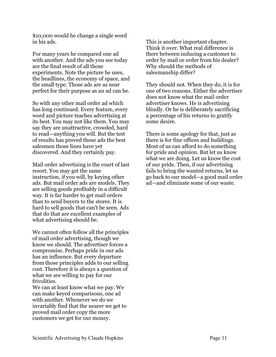\$10,000 would he change a single word in his ads.

For many years he compared one ad with another. And the ads you see today are the final result of all those experiments. Note the picture he uses, the headlines, the economy of space, and the small type. Those ads are as near perfect for their purpose as an ad can be.

So with any other mail order ad which has long continued. Every feature, every word and picture teaches advertising at its best. You may not like them. You may say they are unattractive, crowded, hard to read—anything you will. But the test of results has proved those ads the best salesmen those lines have yet discovered. And they certainly pay.

Mail order advertising is the court of last resort. You may get the same instruction, if you will, by keying other ads. But mail order ads are models. They are selling goods profitably in a difficult way. It is far harder to get mail orders than to send buyers to the stores. It is hard to sell goods that can't be seen. Ads that do that are excellent examples of what advertising should be.

We cannot often follow all the principles of mail order advertising, though we know we should. The advertiser forces a compromise. Perhaps pride in our ads has an influence. But every departure from those principles adds to our selling cost. Therefore it is always a question of what we are willing to pay for our frivolities.

We can at least know what we pay. We can make keyed comparisons, one ad with another. Whenever we do we invariably find that the nearer we get to proved mail order copy the more customers we get for our money.

This is another important chapter. Think it over. What real difference is there between inducing a customer to order by mail or order from his dealer? Why should the methods of salesmanship differ?

They should not. When they do, it is for one of two reasons. Either the advertiser does not know what the mail order advertiser knows. He is advertising blindly. Or he is deliberately sacrificing a percentage of his returns to gratify some desire.

There is some apology for that, just as there is for fine offices and buildings. Most of us can afford to do something for pride and opinion. But let us know what we are doing. Let us know the cost of our pride. Then, if our advertising fails to bring the wanted returns, let us go back to our model—a good mail order ad—and eliminate some of our waste.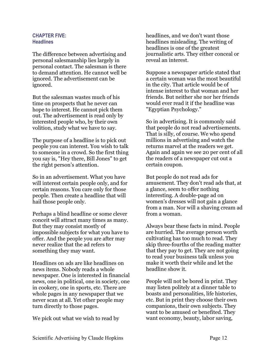## **CHAPTER FIVE: Headlines**

The difference between advertising and personal salesmanship lies largely in personal contact. The salesman is there to demand attention. He cannot well be ignored. The advertisement can be ignored.

But the salesman wastes much of his time on prospects that he never can hope to interest. He cannot pick them out. The advertisement is read only by interested people who, by their own volition, study what we have to say.

The purpose of a headline is to pick out people you can interest. You wish to talk to someone in a crowd. So the first thing you say is, "Hey there, Bill Jones" to get the right person's attention.

So in an advertisement. What you have will interest certain people only, and for certain reasons. You care only for those people. Then create a headline that will hail those people only.

Perhaps a blind headline or some clever conceit will attract many times as many. But they may consist mostly of impossible subjects for what you have to offer. And the people you are after may never realize that the ad refers to something they may want.

Headlines on ads are like headlines on news items. Nobody reads a whole newspaper. One is interested in financial news, one in political, one in society, one in cookery, one in sports, etc. There are whole pages in any newspaper that we never scan at all. Yet other people may turn directly to those pages.

We pick out what we wish to read by

headlines, and we don't want those headlines misleading. The writing of headlines is one of the greatest journalistic arts. They either conceal or reveal an interest.

Suppose a newspaper article stated that a certain woman was the most beautiful in the city. That article would be of intense interest to that woman and her friends. But neither she nor her friends would ever read it if the headline was "Egyptian Psychology."

So in advertising. It is commonly said that people do not read advertisements. That is silly, of course. We who spend millions in advertising and watch the returns marvel at the readers we get. Again and again we see 20 per cent of all the readers of a newspaper cut out a certain coupon.

But people do not read ads for amusement. They don't read ads that, at a glance, seem to offer nothing interesting. A double-page ad on women's dresses will not gain a glance from a man. Nor will a shaving cream ad from a woman.

Always bear these facts in mind. People are hurried. The average person worth cultivating has too much to read. They skip three-fourths of the reading matter that they pay to get. They are not going to read your business talk unless you make it worth their while and let the headline show it.

People will not be bored in print. They may listen politely at a dinner table to boasts and personalities, life histories, etc. But in print they choose their own companions, their own subjects. They want to be amused or benefited. They want economy, beauty, labor saving,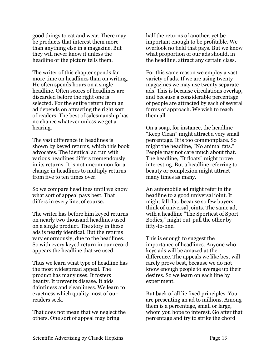good things to eat and wear. There may be products that interest them more than anything else in a magazine. But they will never know it unless the headline or the picture tells them.

The writer of this chapter spends far more time on headlines than on writing. He often spends hours on a single headline. Often scores of headlines are discarded before the right one is selected. For the entire return from an ad depends on attracting the right sort of readers. The best of salesmanship has no chance whatever unless we get a hearing.

The vast difference in headlines is shown by keyed returns, which this book advocates. The identical ad run with various headlines differs tremendously in its returns. It is not uncommon for a change in headlines to multiply returns from five to ten times over.

So we compare headlines until we know what sort of appeal pays best. That differs in every line, of course.

The writer has before him keyed returns on nearly two thousand headlines used on a single product. The story in these ads is nearly identical. But the returns vary enormously, due to the headlines. So with every keyed return in our record appears the headline that we used.

Thus we learn what type of headline has the most widespread appeal. The product has many uses. It fosters beauty. It prevents disease. It aids daintiness and cleanliness. We learn to exactness which quality most of our readers seek.

That does not mean that we neglect the others. One sort of appeal may bring

half the returns of another, yet be important enough to be profitable. We overlook no field that pays. But we know what proportion of our ads should, in the headline, attract any certain class.

For this same reason we employ a vast variety of ads. If we are using twenty magazines we may use twenty separate ads. This is because circulations overlap, and because a considerable percentage of people are attracted by each of several forms of approach. We wish to reach them all.

On a soap, for instance, the headline "Keep Clean" might attract a very small percentage. It is too commonplace. So might the headline, "No animal fats." People may not care much about that. The headline, "It floats" might prove interesting. But a headline referring to beauty or complexion might attract many times as many.

An automobile ad might refer in the headline to a good universal joint. It might fall flat, because so few buyers think of universal joints. The same ad, with a headline "The Sportiest of Sport Bodies," might out-pull the other by fifty-to-one.

This is enough to suggest the importance of headlines. Anyone who keys ads will be amazed at the difference. The appeals we like best will rarely prove best, because we do not know enough people to average up their desires. So we learn on each line by experiment.

But back of all lie fixed principles. You are presenting an ad to millions. Among them is a percentage, small or large, whom you hope to interest. Go after that percentage and try to strike the chord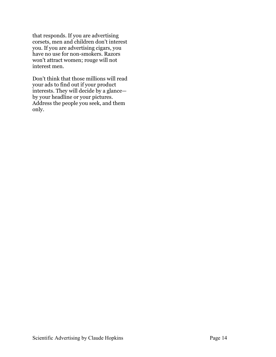that responds. If you are advertising corsets, men and children don't interest you. If you are advertising cigars, you have no use for non-smokers. Razors won't attract women; rouge will not interest men.

Don't think that those millions will read your ads to find out if your product interests. They will decide by a glance by your headline or your pictures. Address the people you seek, and them only.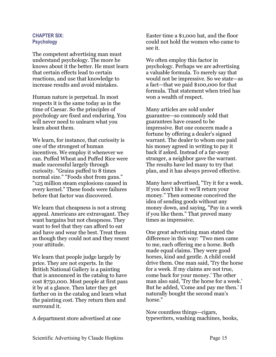# **CHAPTER SIX: Psychology**

The competent advertising man must understand psychology. The more he knows about it the better. He must learn that certain effects lead to certain reactions, and use that knowledge to increase results and avoid mistakes.

Human nature is perpetual. In most respects it is the same today as in the time of Caesar. So the principles of psychology are fixed and enduring. You will never need to unlearn what you learn about them.

We learn, for instance, that curiosity is one of the strongest of human incentives. We employ it whenever we can. Puffed Wheat and Puffed Rice were made successful largely through curiosity. "Grains puffed to 8 times normal size." "Foods shot from guns." "125 million steam explosions caused in every kernel." These foods were failures before that factor was discovered.

We learn that cheapness is not a strong appeal. Americans are extravagant. They want bargains but not cheapness. They want to feel that they can afford to eat and have and wear the best. Treat them as though they could not and they resent your attitude.

We learn that people judge largely by price. They are not experts. In the British National Gallery is a painting that is announced in the catalog to have cost \$750,000. Most people at first pass it by at a glance. Then later they get farther on in the catalog and learn what the painting cost. They return then and surround it.

A department store advertised at one

Easter time a \$1,000 hat, and the floor could not hold the women who came to see it.

We often employ this factor in psychology. Perhaps we are advertising a valuable formula. To merely say that would not be impressive. So we state—as a fact—that we paid \$100,000 for that formula. That statement when tried has won a wealth of respect.

Many articles are sold under guarantee—so commonly sold that guarantees have ceased to be impressive. But one concern made a fortune by offering a dealer's signed warrant. The dealer to whom one paid his money agreed in writing to pay it back if asked. Instead of a far-away stranger, a neighbor gave the warrant. The results have led many to try that plan, and it has always proved effective.

Many have advertised, "Try it for a week. If you don't like it we'll return your money." Then someone conceived the idea of sending goods without any money down, and saying, "Pay in a week if you like them." That proved many times as impressive.

One great advertising man stated the difference in this way: "Two men came to me, each offering me a horse. Both made equal claims. They were good horses, kind and gentle. A child could drive them. One man said, 'Try the horse for a week. If my claims are not true, come back for your money.' The other man also said, 'Try the horse for a week.' But he added, 'Come and pay me then.' I naturally bought the second man's horse."

Now countless things—cigars, typewriters, washing machines, books,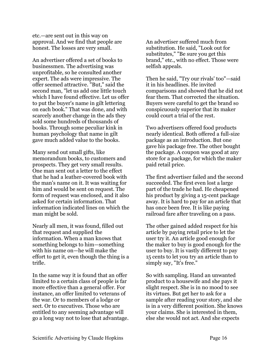etc.—are sent out in this way on approval. And we find that people are honest. The losses are very small.

An advertiser offered a set of books to businessmen. The advertising was unprofitable, so he consulted another expert. The ads were impressive. The offer seemed attractive. "But," said the second man, "let us add one little touch which I have found effective. Let us offer to put the buyer's name in gilt lettering on each book." That was done, and with scarcely another change in the ads they sold some hundreds of thousands of books. Through some peculiar kink in human psychology that name in gilt gave much added value to the books.

Many send out small gifts, like memorandum books, to customers and prospects. They get very small results. One man sent out a letter to the effect that he had a leather-covered book with the man's name on it. It was waiting for him and would be sent on request. The form of request was enclosed, and it also asked for certain information. That information indicated lines on which the man might be sold.

Nearly all men, it was found, filled out that request and supplied the information. When a man knows that something belongs to him—something with his name on—he will make the effort to get it, even though the thing is a trifle.

In the same way it is found that an offer limited to a certain class of people is far more effective than a general offer. For instance, an offer limited to veterans of the war. Or to members of a lodge or sect. Or to executives. Those who are entitled to any seeming advantage will go a long way not to lose that advantage.

An advertiser suffered much from substitution. He said, "Look out for substitutes," "Be sure you get this brand," etc., with no effect. Those were selfish appeals.

Then he said, "Try our rivals' too"—said it in his headlines. He invited comparisons and showed that he did not fear them. That corrected the situation. Buyers were careful to get the brand so conspicuously superior that its maker could court a trial of the rest.

Two advertisers offered food products nearly identical. Both offered a full-size package as an introduction. But one gave his package free. The other bought the package. A coupon was good at any store for a package, for which the maker paid retail price.

The first advertiser failed and the second succeeded. The first even lost a large part of the trade he had. He cheapened his product by giving a 15-cent package away. It is hard to pay for an article that has once been free. It is like paying railroad fare after traveling on a pass.

The other gained added respect for his article by paying retail price to let the user try it. An article good enough for the maker to buy is good enough for the user to buy. It is vastly different to pay 15 cents to let you try an article than to simply say, "It's free."

So with sampling. Hand an unwanted product to a housewife and she pays it slight respect. She is in no mood to see its virtues. But get her to ask for a sample after reading your story, and she is in a very different position. She knows your claims. She is interested in them, else she would not act. And she expects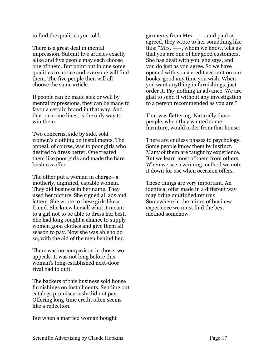to find the qualities you told.

There is a great deal in mental impression. Submit five articles exactly alike and five people may each choose one of them. But point out in one some qualities to notice and everyone will find them. The five people then will all choose the same article.

If people can be made sick or well by mental impressions, they can be made to favor a certain brand in that way. And that, on some lines, is the only way to win them.

Two concerns, side by side, sold women's clothing on installments. The appeal, of course, was to poor girls who desired to dress better. One treated them like poor girls and made the bare business offer.

The other put a woman in charge—a motherly, dignified, capable woman. They did business in her name. They used her picture. She signed all ads and letters. She wrote to these girls like a friend. She knew herself what it meant to a girl not to be able to dress her best. She had long sought a chance to supply women good clothes and give them all season to pay. Now she was able to do so, with the aid of the men behind her.

There was no comparison in those two appeals. It was not long before this woman's long-established next-door rival had to quit.

The backers of this business sold house furnishings on installments. Sending out catalogs promiscuously did not pay. Offering long-time credit often seems like a reflection.

But when a married woman bought

garments from Mrs. ——, and paid as agreed, they wrote to her something like this: "Mrs. ——, whom we know, tells us that you are one of her good customers. She has dealt with you, she says, and you do just as you agree. So we have opened with you a credit account on our books, good any time you wish. When you want anything in furnishings, just order it. Pay nothing in advance. We are glad to send it without any investigation to a person recommended as you are."

That was flattering. Naturally those people, when they wanted some furniture, would order from that house.

There are endless phases to psychology. Some people know them by instinct. Many of them are taught by experience. But we learn most of them from others. When we see a winning method we note it down for use when occasion offers.

These things are very important. An identical offer made in a different way may bring multiplied returns. Somewhere in the mines of business experience we must find the best method somehow.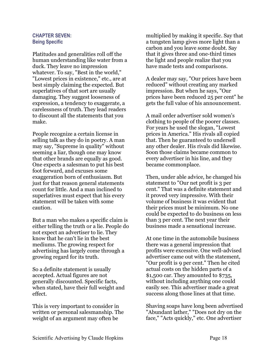# **CHAPTER SEVEN: Being Specific**

Platitudes and generalities roll off the human understanding like water from a duck. They leave no impression whatever. To say, "Best in the world," "Lowest prices in existence," etc., are at best simply claiming the expected. But superlatives of that sort are usually damaging. They suggest looseness of expression, a tendency to exaggerate, a carelessness of truth. They lead readers to discount all the statements that you make.

People recognize a certain license in selling talk as they do in poetry. A man may say, "Supreme in quality" without seeming a liar, though one may know that other brands are equally as good. One expects a salesman to put his best foot forward, and excuses some exaggeration born of enthusiasm. But just for that reason general statements count for little. And a man inclined to superlatives must expect that his every statement will be taken with some caution.

But a man who makes a specific claim is either telling the truth or a lie. People do not expect an advertiser to lie. They know that he can't lie in the best mediums. The growing respect for advertising has largely come through a growing regard for its truth.

So a definite statement is usually accepted. Actual figures are not generally discounted. Specific facts, when stated, have their full weight and effect.

This is very important to consider in written or personal salesmanship. The weight of an argument may often be

multiplied by making it specific. Say that a tungsten lamp gives more light than a carbon and you leave some doubt. Say that it gives three and one-third times the light and people realize that you have made tests and comparisons.

A dealer may say, "Our prices have been reduced" without creating any marked impression. But when he says, "Our prices have been reduced 25 per cent" he gets the full value of his announcement.

A mail order advertiser sold women's clothing to people of the poorer classes. For years he used the slogan, "Lowest prices in America." His rivals all copied that. Then he guaranteed to undersell any other dealer. His rivals did likewise. Soon those claims became common to every advertiser in his line, and they became commonplace.

Then, under able advice, he changed his statement to "Our net profit is 3 per cent." That was a definite statement and it proved very impressive. With their volume of business it was evident that their prices must be minimum. No one could be expected to do business on less than 3 per cent. The next year their business made a sensational increase.

At one time in the automobile business there was a general impression that profits were excessive. One well-advised advertiser came out with the statement, "Our profit is 9 per cent." Then he cited actual costs on the hidden parts of a \$1,500 car. They amounted to \$735, without including anything one could easily see. This advertiser made a great success along those lines at that time.

Shaving soaps have long been advertised "Abundant lather," "Does not dry on the face," "Acts quickly," etc. One advertiser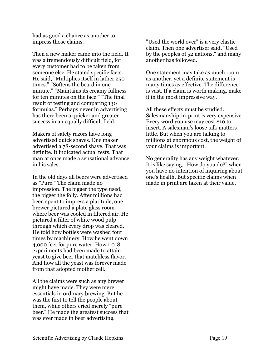had as good a chance as another to impress those claims.

Then a new maker came into the field. It was a tremendously difficult field, for every customer had to be taken from someone else. He stated specific facts. He said, "Multiplies itself in lather 250 times." "Softens the beard in one minute." "Maintains its creamy fullness for ten minutes on the face." "The final result of testing and comparing 130 formulas." Perhaps never in advertising has there been a quicker and greater success in an equally difficult field.

Makers of safety razors have long advertised quick shaves. One maker advertised a 78-second shave. That was definite. It indicated actual tests. That man at once made a sensational advance in his sales.

In the old days all beers were advertised as "Pure." The claim made no impression. The bigger the type used, the bigger the folly. After millions had been spent to impress a platitude, one brewer pictured a plate glass room where beer was cooled in filtered air. He pictured a filter of white wood pulp through which every drop was cleared. He told how bottles were washed four times by machinery. How he went down 4,000 feet for pure water. How 1,018 experiments had been made to attain yeast to give beer that matchless flavor. And how all the yeast was forever made from that adopted mother cell.

All the claims were such as any brewer might have made. They were mere essentials in ordinary brewing. But he was the first to tell the people about them, while others cried merely "pure beer." He made the greatest success that was ever made in beer advertising.

"Used the world over" is a very elastic claim. Then one advertiser said, "Used by the peoples of 52 nations," and many another has followed.

One statement may take as much room as another, yet a definite statement is many times as effective. The difference is vast. If a claim is worth making, make it in the most impressive way.

All these effects must be studied. Salesmanship-in-print is very expensive. Every word you use may cost \$10 to insert. A salesman's loose talk matters little. But when you are talking to millions at enormous cost, the weight of your claims is important.

No generality has any weight whatever. It is like saying, "How do you do?" when you have no intention of inquiring about one's health. But specific claims when made in print are taken at their value.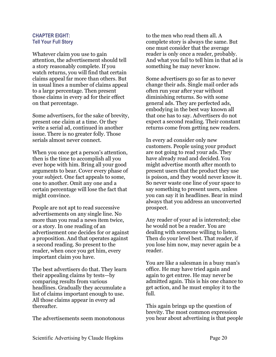# **CHAPTER EIGHT: Tell Your Full Story**

Whatever claim you use to gain attention, the advertisement should tell a story reasonably complete. If you watch returns, you will find that certain claims appeal far more than others. But in usual lines a number of claims appeal to a large percentage. Then present those claims in every ad for their effect on that percentage.

Some advertisers, for the sake of brevity, present one claim at a time. Or they write a serial ad, continued in another issue. There is no greater folly. Those serials almost never connect.

When you once get a person's attention, then is the time to accomplish all you ever hope with him. Bring all your good arguments to bear. Cover every phase of your subject. One fact appeals to some, one to another. Omit any one and a certain percentage will lose the fact that might convince.

People are not apt to read successive advertisements on any single line. No more than you read a news item twice, or a story. In one reading of an advertisement one decides for or against a proposition. And that operates against a second reading. So present to the reader, when once you get him, every important claim you have.

The best advertisers do that. They learn their appealing claims by tests—by comparing results from various headlines. Gradually they accumulate a list of claims important enough to use. All those claims appear in every ad thereafter.

The advertisements seem monotonous

to the men who read them all. A complete story is always the same. But one must consider that the average reader is only once a reader, probably. And what you fail to tell him in that ad is something he may never know.

Some advertisers go so far as to never change their ads. Single mail order ads often run year after year without diminishing returns. So with some general ads. They are perfected ads, embodying in the best way known all that one has to say. Advertisers do not expect a second reading. Their constant returns come from getting new readers.

In every ad consider only new customers. People using your product are not going to read your ads. They have already read and decided. You might advertise month after month to present users that the product they use is poison, and they would never know it. So never waste one line of your space to say something to present users, unless you can say it in headlines. Bear in mind always that you address an unconverted prospect.

Any reader of your ad is interested; else he would not be a reader. You are dealing with someone willing to listen. Then do your level best. That reader, if you lose him now, may never again be a reader.

You are like a salesman in a busy man's office. He may have tried again and again to get entree. He may never be admitted again. This is his one chance to get action, and he must employ it to the full.

This again brings up the question of brevity. The most common expression you hear about advertising is that people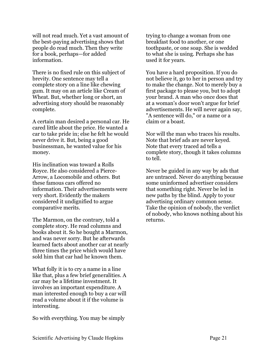will not read much. Yet a vast amount of the best-paying advertising shows that people do read much. Then they write for a book, perhaps—for added information.

There is no fixed rule on this subject of brevity. One sentence may tell a complete story on a line like chewing gum. It may on an article like Cream of Wheat. But, whether long or short, an advertising story should be reasonably complete.

A certain man desired a personal car. He cared little about the price. He wanted a car to take pride in; else he felt he would never drive it. But, being a good businessman, he wanted value for his money.

His inclination was toward a Rolls Royce. He also considered a Pierce-Arrow, a Locomobile and others. But these famous cars offered no information. Their advertisements were very short. Evidently the makers considered it undignified to argue comparative merits.

The Marmon, on the contrary, told a complete story. He read columns and books about it. So he bought a Marmon, and was never sorry. But he afterwards learned facts about another car at nearly three times the price which would have sold him that car had he known them.

What folly it is to cry a name in a line like that, plus a few brief generalities. A car may be a lifetime investment. It involves an important expenditure. A man interested enough to buy a car will read a volume about it if the volume is interesting.

So with everything. You may be simply

trying to change a woman from one breakfast food to another, or one toothpaste, or one soap. She is wedded to what she is using. Perhaps she has used it for years.

You have a hard proposition. If you do not believe it, go to her in person and try to make the change. Not to merely buy a first package to please you, but to adopt your brand. A man who once does that at a woman's door won't argue for brief advertisements. He will never again say, "A sentence will do," or a name or a claim or a boast.

Nor will the man who traces his results. Note that brief ads are never keyed. Note that every traced ad tells a complete story, though it takes columns to tell.

Never be guided in any way by ads that are untraced. Never do anything because some uninformed advertiser considers that something right. Never be led in new paths by the blind. Apply to your advertising ordinary common sense. Take the opinion of nobody, the verdict of nobody, who knows nothing about his returns.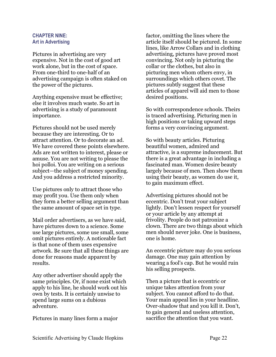# **CHAPTER NINE: Art in Advertising**

Pictures in advertising are very expensive. Not in the cost of good art work alone, but in the cost of space. From one-third to one-half of an advertising campaign is often staked on the power of the pictures.

Anything expensive must be effective; else it involves much waste. So art in advertising is a study of paramount importance.

Pictures should not be used merely because they are interesting. Or to attract attention. Or to decorate an ad. We have covered these points elsewhere. Ads are not written to interest, please or amuse. You are not writing to please the hoi polloi. You are writing on a serious subject—the subject of money spending. And you address a restricted minority.

Use pictures only to attract those who may profit you. Use them only when they form a better selling argument than the same amount of space set in type.

Mail order advertisers, as we have said, have pictures down to a science. Some use large pictures, some use small, some omit pictures entirely. A noticeable fact is that none of them uses expensive artwork. Be sure that all these things are done for reasons made apparent by results.

Any other advertiser should apply the same principles. Or, if none exist which apply to his line, he should work out his own by tests. It is certainly unwise to spend large sums on a dubious adventure.

Pictures in many lines form a major

factor, omitting the lines where the article itself should be pictured. In some lines, like Arrow Collars and in clothing advertising, pictures have proved most convincing. Not only in picturing the collar or the clothes, but also in picturing men whom others envy, in surroundings which others covet. The pictures subtly suggest that these articles of apparel will aid men to those desired positions.

So with correspondence schools. Theirs is traced advertising. Picturing men in high positions or taking upward steps forms a very convincing argument.

So with beauty articles. Picturing beautiful women, admired and attractive, is a supreme inducement. But there is a great advantage in including a fascinated man. Women desire beauty largely because of men. Then show them using their beauty, as women do use it, to gain maximum effect.

Advertising pictures should not be eccentric. Don't treat your subject lightly. Don't lessen respect for yourself or your article by any attempt at frivolity. People do not patronize a clown. There are two things about which men should never joke. One is business, one is home.

An eccentric picture may do you serious damage. One may gain attention by wearing a fool's cap. But he would ruin his selling prospects.

Then a picture that is eccentric or unique takes attention from your subject. You cannot afford to do that. Your main appeal lies in your headline. Over-shadow that and you kill it. Don't, to gain general and useless attention, sacrifice the attention that you want.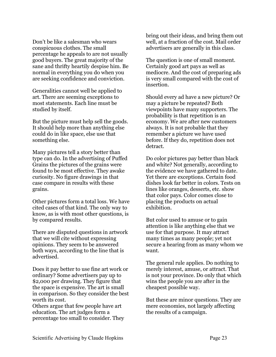Don't be like a salesman who wears conspicuous clothes. The small percentage he appeals to are not usually good buyers. The great majority of the sane and thrifty heartily despise him. Be normal in everything you do when you are seeking confidence and conviction.

Generalities cannot well be applied to art. There are seeming exceptions to most statements. Each line must be studied by itself.

But the picture must help sell the goods. It should help more than anything else could do in like space, else use that something else.

Many pictures tell a story better than type can do. In the advertising of Puffed Grains the pictures of the grains were found to be most effective. They awake curiosity. No figure drawings in that case compare in results with these grains.

Other pictures form a total loss. We have cited cases of that kind. The only way to know, as is with most other questions, is by compared results.

There are disputed questions in artwork that we will cite without expressing opinions. They seem to be answered both ways, according to the line that is advertised.

Does it pay better to use fine art work or ordinary? Some advertisers pay up to \$2,000 per drawing. They figure that the space is expensive. The art is small in comparison. So they consider the best worth its cost.

Others argue that few people have art education. The art judges form a percentage too small to consider. They bring out their ideas, and bring them out well, at a fraction of the cost. Mail order advertisers are generally in this class.

The question is one of small moment. Certainly good art pays as well as mediocre. And the cost of preparing ads is very small compared with the cost of insertion.

Should every ad have a new picture? Or may a picture be repeated? Both viewpoints have many supporters. The probability is that repetition is an economy. We are after new customers always. It is not probable that they remember a picture we have used before. If they do, repetition does not detract.

Do color pictures pay better than black and white? Not generally, according to the evidence we have gathered to date. Yet there are exceptions. Certain food dishes look far better in colors. Tests on lines like oranges, desserts, etc. show that color pays. Color comes close to placing the products on actual exhibition.

But color used to amuse or to gain attention is like anything else that we use for that purpose. It may attract many times as many people; yet not secure a hearing from as many whom we want.

The general rule applies. Do nothing to merely interest, amuse, or attract. That is not your province. Do only that which wins the people you are after in the cheapest possible way.

But these are minor questions. They are mere economies, not largely affecting the results of a campaign.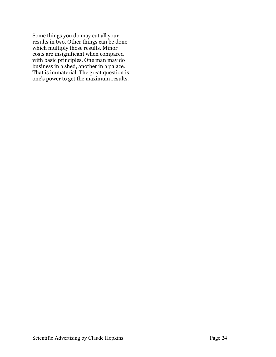Some things you do may cut all your results in two. Other things can be done which multiply those results. Minor costs are insignificant when compared with basic principles. One man may do business in a shed, another in a palace. That is immaterial. The great question is one's power to get the maximum results.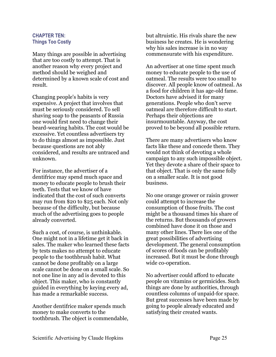# **CHAPTER TEN: Things Too Costly**

Many things are possible in advertising that are too costly to attempt. That is another reason why every project and method should be weighed and determined by a known scale of cost and result.

Changing people's habits is very expensive. A project that involves that must be seriously considered. To sell shaving soap to the peasants of Russia one would first need to change their beard-wearing habits. The cost would be excessive. Yet countless advertisers try to do things almost as impossible. Just because questions are not ably considered, and results are untraced and unknown.

For instance, the advertiser of a dentifrice may spend much space and money to educate people to brush their teeth. Tests that we know of have indicated that the cost of such converts may run from \$20 to \$25 each. Not only because of the difficulty, but because much of the advertising goes to people already converted.

Such a cost, of course, is unthinkable. One might not in a lifetime get it back in sales. The maker who learned these facts by tests makes no attempt to educate people to the toothbrush habit. What cannot be done profitably on a large scale cannot be done on a small scale. So not one line in any ad is devoted to this object. This maker, who is constantly guided in everything by keying every ad, has made a remarkable success.

Another dentifrice maker spends much money to make converts to the toothbrush. The object is commendable, but altruistic. His rivals share the new business he creates. He is wondering why his sales increase is in no way commensurate with his expenditure.

An advertiser at one time spent much money to educate people to the use of oatmeal. The results were too small to discover. All people know of oatmeal. As a food for children it has age-old fame. Doctors have advised it for many generations. People who don't serve oatmeal are therefore difficult to start. Perhaps their objections are insurmountable. Anyway, the cost proved to be beyond all possible return.

There are many advertisers who know facts like these and concede them. They would not think of devoting a whole campaign to any such impossible object. Yet they devote a share of their space to that object. That is only the same folly on a smaller scale. It is not good business.

No one orange grower or raisin grower could attempt to increase the consumption of those fruits. The cost might be a thousand times his share of the returns. But thousands of growers combined have done it on those and many other lines. There lies one of the great possibilities of advertising development. The general consumption of scores of foods can be profitably increased. But it must be done through wide co-operation.

No advertiser could afford to educate people on vitamins or germicides. Such things are done by authorities, through countless columns of unpaid-for space. But great successes have been made by going to people already educated and satisfying their created wants.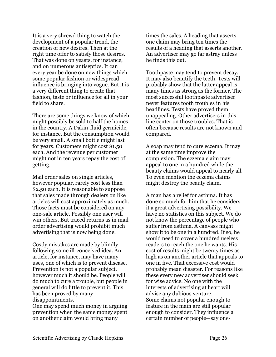It is a very shrewd thing to watch the development of a popular trend, the creation of new desires. Then at the right time offer to satisfy those desires. That was done on yeasts, for instance, and on numerous antiseptics. It can every year be done on new things which some popular fashion or widespread influence is bringing into vogue. But it is a very different thing to create that fashion, taste or influence for all in your field to share.

There are some things we know of which might possibly be sold to half the homes in the country. A Dakin-fluid germicide, for instance. But the consumption would be very small. A small bottle might last for years. Customers might cost \$1.50 each. And the revenue per customer might not in ten years repay the cost of getting.

Mail order sales on single articles, however popular, rarely cost less than \$2.50 each. It is reasonable to suppose that sales made through dealers on like articles will cost approximately as much. Those facts must be considered on any one-sale article. Possibly one user will win others. But traced returns as in mail order advertising would prohibit much advertising that is now being done.

Costly mistakes are made by blindly following some ill-conceived idea. An article, for instance, may have many uses, one of which is to prevent disease. Prevention is not a popular subject, however much it should be. People will do much to cure a trouble, but people in general will do little to prevent it. This has been proved by many disappointments.

One may spend much money in arguing prevention when the same money spent on another claim would bring many

times the sales. A heading that asserts one claim may bring ten times the results of a heading that asserts another. An advertiser may go far astray unless he finds this out.

Toothpaste may tend to prevent decay. It may also beautify the teeth. Tests will probably show that the latter appeal is many times as strong as the former. The most successful toothpaste advertiser never features tooth troubles in his headlines. Tests have proved them unappealing. Other advertisers in this line center on those troubles. That is often because results are not known and compared.

A soap may tend to cure eczema. It may at the same time improve the complexion. The eczema claim may appeal to one in a hundred while the beauty claims would appeal to nearly all. To even mention the eczema claims might destroy the beauty claim.

A man has a relief for asthma. It has done so much for him that he considers it a great advertising possibility. We have no statistics on this subject. We do not know the percentage of people who suffer from asthma. A canvass might show it to be one in a hundred. If so, he would need to cover a hundred useless readers to reach the one he wants. His cost of results might be twenty times as high as on another article that appeals to one in five. That excessive cost would probably mean disaster. For reasons like these every new advertiser should seek for wise advice. No one with the interests of advertising at heart will advise any dubious venture. Some claims not popular enough to feature in the main are still popular enough to consider. They influence a certain number of people—say one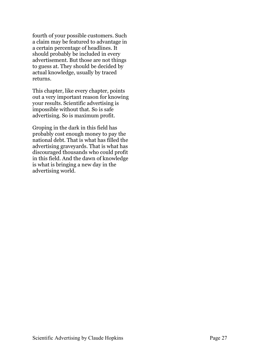fourth of your possible customers. Such a claim may be featured to advantage in a certain percentage of headlines. It should probably be included in every advertisement. But those are not things to guess at. They should be decided by actual knowledge, usually by traced returns.

This chapter, like every chapter, points out a very important reason for knowing your results. Scientific advertising is impossible without that. So is safe advertising. So is maximum profit.

Groping in the dark in this field has probably cost enough money to pay the national debt. That is what has filled the advertising graveyards. That is what has discouraged thousands who could profit in this field. And the dawn of knowledge is what is bringing a new day in the advertising world.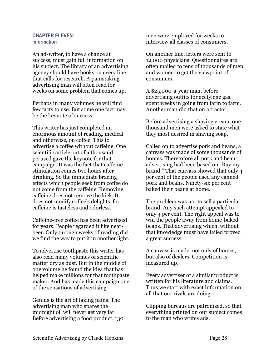#### **CHAPTER ELEVEN: Information**

An ad-writer, to have a chance at success, must gain full information on his subject. The library of an advertising agency should have books on every line that calls for research. A painstaking advertising man will often read for weeks on some problem that comes up.

Perhaps in many volumes he will find few facts to use. But some one fact may be the keynote of success.

This writer has just completed an enormous amount of reading, medical and otherwise, on coffee. This to advertise a coffee without caffeine. One scientific article out of a thousand perused gave the keynote for that campaign. It was the fact that caffeine stimulation comes two hours after drinking. So the immediate bracing effects which people seek from coffee do not come from the caffeine. Removing caffeine does not remove the kick. It does not modify coffee's delights, for caffeine is tasteless and odorless.

Caffeine-free coffee has been advertised for years. People regarded it like nearbeer. Only through weeks of reading did we find the way to put it in another light.

To advertise toothpaste this writer has also read many volumes of scientific matter dry as dust. But in the middle of one volume he found the idea that has helped make millions for that toothpaste maker. And has made this campaign one of the sensations of advertising.

Genius is the art of taking pains. The advertising man who spares the midnight oil will never get very far. Before advertising a food product, 130

men were employed for weeks to interview all classes of consumers.

On another line, letters were sent to 12,000 physicians. Questionnaires are often mailed to tens of thousands of men and women to get the viewpoint of consumers.

A \$25,000-a-year man, before advertising outfits for acetylene gas, spent weeks in going from farm to farm. Another man did that on a tractor.

Before advertising a shaving cream, one thousand men were asked to state what they most desired in shaving soap.

Called on to advertise pork and beans, a canvass was made of some thousands of homes. Theretofore all pork and bean advertising had been based on "Buy my brand." That canvass showed that only 4 per cent of the people used any canned pork and beans. Ninety-six per cent baked their beans at home.

The problem was not to sell a particular brand. Any such attempt appealed to only 4 per cent. The right appeal was to win the people away from home-baked beans. That advertising which, without that knowledge must have failed proved a great success.

A canvass is made, not only of homes, but also of dealers. Competition is measured up.

Every advertiser of a similar product is written for his literature and claims. Thus we start with exact information on all that our rivals are doing.

Clipping bureaus are patronized, so that everything printed on our subject comes to the man who writes ads.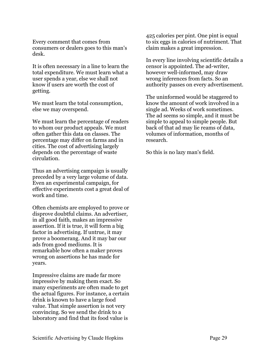Every comment that comes from consumers or dealers goes to this man's desk.

It is often necessary in a line to learn the total expenditure. We must learn what a user spends a year, else we shall not know if users are worth the cost of getting.

We must learn the total consumption, else we may overspend.

We must learn the percentage of readers to whom our product appeals. We must often gather this data on classes. The percentage may differ on farms and in cities. The cost of advertising largely depends on the percentage of waste circulation.

Thus an advertising campaign is usually preceded by a very large volume of data. Even an experimental campaign, for effective experiments cost a great deal of work and time.

Often chemists are employed to prove or disprove doubtful claims. An advertiser, in all good faith, makes an impressive assertion. If it is true, it will form a big factor in advertising. If untrue, it may prove a boomerang. And it may bar our ads from good mediums. It is remarkable how often a maker proves wrong on assertions he has made for years.

Impressive claims are made far more impressive by making them exact. So many experiments are often made to get the actual figures. For instance, a certain drink is known to have a large food value. That simple assertion is not very convincing. So we send the drink to a laboratory and find that its food value is

425 calories per pint. One pint is equal to six eggs in calories of nutriment. That claim makes a great impression.

In every line involving scientific details a censor is appointed. The ad-writer, however well-informed, may draw wrong inferences from facts. So an authority passes on every advertisement.

The uninformed would be staggered to know the amount of work involved in a single ad. Weeks of work sometimes. The ad seems so simple, and it must be simple to appeal to simple people. But back of that ad may lie reams of data, volumes of information, months of research.

So this is no lazy man's field.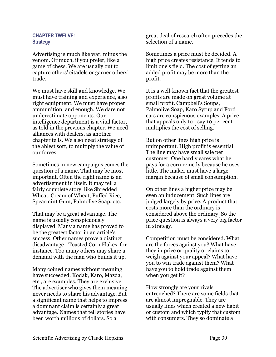# **CHAPTER TWELVE: Strategy**

Advertising is much like war, minus the venom. Or much, if you prefer, like a game of chess. We are usually out to capture others' citadels or garner others' trade.

We must have skill and knowledge. We must have training and experience, also right equipment. We must have proper ammunition, and enough. We dare not underestimate opponents. Our intelligence department is a vital factor, as told in the previous chapter. We need alliances with dealers, as another chapter tells. We also need strategy of the ablest sort, to multiply the value of our forces.

Sometimes in new campaigns comes the question of a name. That may be most important. Often the right name is an advertisement in itself. It may tell a fairly complete story, like Shredded Wheat, Cream of Wheat, Puffed Rice, Spearmint Gum, Palmolive Soap, etc.

That may be a great advantage. The name is usually conspicuously displayed. Many a name has proved to be the greatest factor in an article's success. Other names prove a distinct disadvantage—Toasted Corn Flakes, for instance. Too many others may share a demand with the man who builds it up.

Many coined names without meaning have succeeded. Kodak, Karo, Mazda, etc., are examples. They are exclusive. The advertiser who gives them meaning never needs to share his advantage. But a significant name that helps to impress a dominant claim is certainly a great advantage. Names that tell stories have been worth millions of dollars. So a

great deal of research often precedes the selection of a name.

Sometimes a price must be decided. A high price creates resistance. It tends to limit one's field. The cost of getting an added profit may be more than the profit.

It is a well-known fact that the greatest profits are made on great volume at small profit. Campbell's Soups, Palmolive Soap, Karo Syrup and Ford cars are conspicuous examples. A price that appeals only to—say 10 per cent multiplies the cost of selling.

But on other lines high price is unimportant. High profit is essential. The line may have small sale per customer. One hardly cares what he pays for a corn remedy because he uses little. The maker must have a large margin because of small consumption.

On other lines a higher price may be even an inducement. Such lines are judged largely by price. A product that costs more than the ordinary is considered above the ordinary. So the price question is always a very big factor in strategy.

Competition must be considered. What are the forces against you? What have they in price or quality or claims to weigh against your appeal? What have you to win trade against them? What have you to hold trade against them when you get it?

How strongly are your rivals entrenched? There are some fields that are almost impregnable. They are usually lines which created a new habit or custom and which typify that custom with consumers. They so dominate a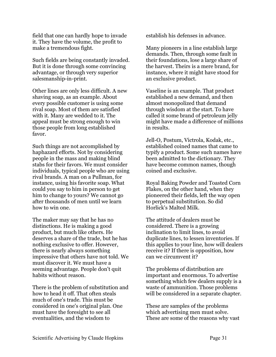field that one can hardly hope to invade it. They have the volume, the profit to make a tremendous fight.

Such fields are being constantly invaded. But it is done through some convincing advantage, or through very superior salesmanship-in-print.

Other lines are only less difficult. A new shaving soap, as an example. About every possible customer is using some rival soap. Most of them are satisfied with it. Many are wedded to it. The appeal must be strong enough to win those people from long established favor.

Such things are not accomplished by haphazard efforts. Not by considering people in the mass and making blind stabs for their favors. We must consider individuals, typical people who are using rival brands. A man on a Pullman, for instance, using his favorite soap. What could you say to him in person to get him to change to yours? We cannot go after thousands of men until we learn how to win one.

The maker may say that he has no distinctions. He is making a good product, but much like others. He deserves a share of the trade, but he has nothing exclusive to offer. However, there is nearly always something impressive that others have not told. We must discover it. We must have a seeming advantage. People don't quit habits without reason.

There is the problem of substitution and how to head it off. That often steals much of one's trade. This must be considered in one's original plan. One must have the foresight to see all eventualities, and the wisdom to

establish his defenses in advance.

Many pioneers in a line establish large demands. Then, through some fault in their foundations, lose a large share of the harvest. Theirs is a mere brand, for instance, where it might have stood for an exclusive product.

Vaseline is an example. That product established a new demand, and then almost monopolized that demand through wisdom at the start. To have called it some brand of petroleum jelly might have made a difference of millions in results.

Jell-O, Postum, Victrola, Kodak, etc., established coined names that came to typify a product. Some such names have been admitted to the dictionary. They have become common names, though coined and exclusive.

Royal Baking Powder and Toasted Corn Flakes, on the other hand, when they pioneered their fields, left the way open to perpetual substitution. So did Horlick's Malted Milk.

The attitude of dealers must be considered. There is a growing inclination to limit lines, to avoid duplicate lines, to lessen inventories. If this applies to your line, how will dealers receive it? If there is opposition, how can we circumvent it?

The problems of distribution are important and enormous. To advertise something which few dealers supply is a waste of ammunition. Those problems will be considered in a separate chapter.

These are samples of the problems which advertising men must solve. These are some of the reasons why vast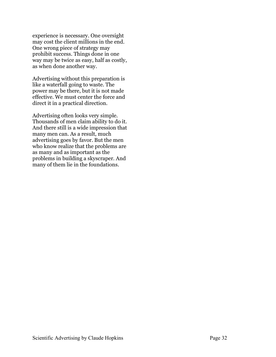experience is necessary. One oversight may cost the client millions in the end. One wrong piece of strategy may prohibit success. Things done in one way may be twice as easy, half as costly, as when done another way.

Advertising without this preparation is like a waterfall going to waste. The power may be there, but it is not made effective. We must center the force and direct it in a practical direction.

Advertising often looks very simple. Thousands of men claim ability to do it. And there still is a wide impression that many men can. As a result, much advertising goes by favor. But the men who know realize that the problems are as many and as important as the problems in building a skyscraper. And many of them lie in the foundations.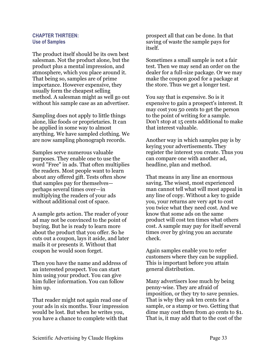### **CHAPTER THIRTEEN: Use of Samples**

The product itself should be its own best salesman. Not the product alone, but the product plus a mental impression, and atmosphere, which you place around it. That being so, samples are of prime importance. However expensive, they usually form the cheapest selling method. A salesman might as well go out without his sample case as an advertiser.

Sampling does not apply to little things alone, like foods or proprietaries. It can be applied in some way to almost anything. We have sampled clothing. We are now sampling phonograph records.

Samples serve numerous valuable purposes. They enable one to use the word "Free" in ads. That often multiplies the readers. Most people want to learn about any offered gift. Tests often show that samples pay for themselves perhaps several times over—in multiplying the readers of your ads without additional cost of space.

A sample gets action. The reader of your ad may not be convinced to the point of buying. But he is ready to learn more about the product that you offer. So he cuts out a coupon, lays it aside, and later mails it or presents it. Without that coupon he would soon forget.

Then you have the name and address of an interested prospect. You can start him using your product. You can give him fuller information. You can follow him up.

That reader might not again read one of your ads in six months. Your impression would be lost. But when he writes you, you have a chance to complete with that

prospect all that can be done. In that saving of waste the sample pays for itself.

Sometimes a small sample is not a fair test. Then we may send an order on the dealer for a full-size package. Or we may make the coupon good for a package at the store. Thus we get a longer test.

You say that is expensive. So is it expensive to gain a prospect's interest. It may cost you 50 cents to get the person to the point of writing for a sample. Don't stop at 15 cents additional to make that interest valuable.

Another way in which samples pay is by keying your advertisements. They register the interest you create. Thus you can compare one with another ad, headline, plan and method.

That means in any line an enormous saving. The wisest, most experienced man cannot tell what will most appeal in any line of copy. Without a key to guide you, your returns are very apt to cost you twice what they need cost. And we know that some ads on the same product will cost ten times what others cost. A sample may pay for itself several times over by giving you an accurate check.

Again samples enable you to refer customers where they can be supplied. This is important before you attain general distribution.

Many advertisers lose much by being penny-wise. They are afraid of imposition, or they try to save pennies. That is why they ask ten cents for a sample, or a stamp or two. Getting that dime may cost them from 40 cents to \$1. That is, it may add that to the cost of the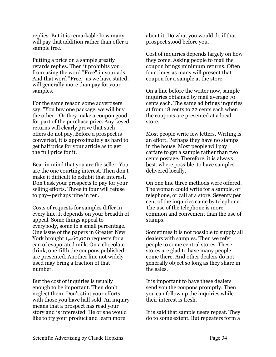replies. But it is remarkable how many will pay that addition rather than offer a sample free.

Putting a price on a sample greatly retards replies. Then it prohibits you from using the word "Free" in your ads. And that word "Free," as we have stated, will generally more than pay for your samples.

For the same reason some advertisers say, "You buy one package, we will buy the other." Or they make a coupon good for part of the purchase price. Any keyed returns will clearly prove that such offers do not pay. Before a prospect is converted, it is approximately as hard to get half price for your article as to get the full price for it.

Bear in mind that you are the seller. You are the one courting interest. Then don't make it difficult to exhibit that interest. Don't ask your prospects to pay for your selling efforts. Three in four will refuse to pay—perhaps nine in ten.

Costs of requests for samples differ in every line. It depends on your breadth of appeal. Some things appeal to everybody, some to a small percentage. One issue of the papers in Greater New York brought 1,460,000 requests for a can of evaporated milk. On a chocolate drink, one-fifth the coupons published are presented. Another line not widely used may bring a fraction of that number.

But the cost of inquiries is usually enough to be important. Then don't neglect them. Don't stint your efforts with those you have half sold. An inquiry means that a prospect has read your story and is interested. He or she would like to try your product and learn more

about it. Do what you would do if that prospect stood before you.

Cost of inquiries depends largely on how they come. Asking people to mail the coupon brings minimum returns. Often four times as many will present that coupon for a sample at the store.

On a line before the writer now, sample inquiries obtained by mail average 70 cents each. The same ad brings inquiries at from 18 cents to 22 cents each when the coupons are presented at a local store.

Most people write few letters. Writing is an effort. Perhaps they have no stamps in the house. Most people will pay carfare to get a sample rather than two cents postage. Therefore, it is always best, where possible, to have samples delivered locally.

On one line three methods were offered. The woman could write for a sample, or telephone, or call at a store. Seventy per cent of the inquiries came by telephone. The use of the telephone is more common and convenient than the use of stamps.

Sometimes it is not possible to supply all dealers with samples. Then we refer people to some central stores. These stores are glad to have many people come there. And other dealers do not generally object so long as they share in the sales.

It is important to have these dealers send you the coupons promptly. Then you can follow up the inquiries while their interest is fresh.

It is said that sample users repeat. They do to some extent. But repeaters form a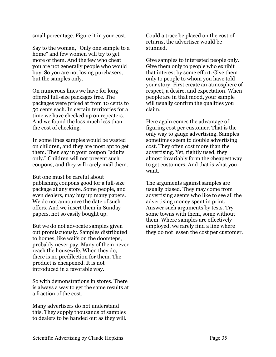small percentage. Figure it in your cost.

Say to the woman, "Only one sample to a home" and few women will try to get more of them. And the few who cheat you are not generally people who would buy. So you are not losing purchasers, but the samples only.

On numerous lines we have for long offered full-size packages free. The packages were priced at from 10 cents to 50 cents each. In certain territories for a time we have checked up on repeaters. And we found the loss much less than the cost of checking.

In some lines samples would be wasted on children, and they are most apt to get them. Then say in your coupon "adults only." Children will not present such coupons, and they will rarely mail them.

But one must be careful about publishing coupons good for a full-size package at any store. Some people, and even dealers, may buy up many papers. We do not announce the date of such offers. And we insert them in Sunday papers, not so easily bought up.

But we do not advocate samples given out promiscuously. Samples distributed to homes, like waifs on the doorsteps, probably never pay. Many of them never reach the housewife. When they do, there is no predilection for them. The product is cheapened. It is not introduced in a favorable way.

So with demonstrations in stores. There is always a way to get the same results at a fraction of the cost.

Many advertisers do not understand this. They supply thousands of samples to dealers to be handed out as they will. Could a trace be placed on the cost of returns, the advertiser would be stunned.

Give samples to interested people only. Give them only to people who exhibit that interest by some effort. Give them only to people to whom you have told your story. First create an atmosphere of respect, a desire, and expectation. When people are in that mood, your sample will usually confirm the qualities you claim.

Here again comes the advantage of figuring cost per customer. That is the only way to gauge advertising. Samples sometimes seem to double advertising cost. They often cost more than the advertising. Yet, rightly used, they almost invariably form the cheapest way to get customers. And that is what you want.

The arguments against samples are usually biased. They may come from advertising agents who like to see all the advertising money spent in print. Answer such arguments by tests. Try some towns with them, some without them. Where samples are effectively employed, we rarely find a line where they do not lessen the cost per customer.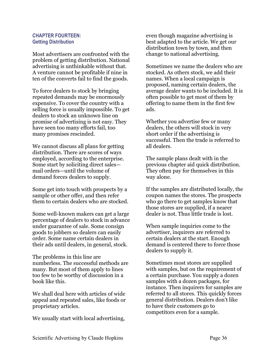# **CHAPTER FOURTEEN: Getting Distribution**

Most advertisers are confronted with the problem of getting distribution. National advertising is unthinkable without that. A venture cannot be profitable if nine in ten of the converts fail to find the goods.

To force dealers to stock by bringing repeated demands may be enormously expensive. To cover the country with a selling force is usually impossible. To get dealers to stock an unknown line on promise of advertising is not easy. They have seen too many efforts fail, too many promises rescinded.

We cannot discuss all plans for getting distribution. There are scores of ways employed, according to the enterprise. Some start by soliciting direct sales mail orders—until the volume of demand forces dealers to supply.

Some get into touch with prospects by a sample or other offer, and then refer them to certain dealers who are stocked.

Some well-known makers can get a large percentage of dealers to stock in advance under guarantee of sale. Some consign goods to jobbers so dealers can easily order. Some name certain dealers in their ads until dealers, in general, stock.

The problems in this line are numberless. The successful methods are many. But most of them apply to lines too few to be worthy of discussion in a book like this.

We shall deal here with articles of wide appeal and repeated sales, like foods or proprietary articles.

We usually start with local advertising,

even though magazine advertising is best adapted to the article. We get our distribution town by town, and then change to national advertising.

Sometimes we name the dealers who are stocked. As others stock, we add their names. When a local campaign is proposed, naming certain dealers, the average dealer wants to be included. It is often possible to get most of them by offering to name them in the first few ads.

Whether you advertise few or many dealers, the others will stock in very short order if the advertising is successful. Then the trade is referred to all dealers.

The sample plans dealt with in the previous chapter aid quick distribution. They often pay for themselves in this way alone.

If the samples are distributed locally, the coupon names the stores. The prospects who go there to get samples know that those stores are supplied, if a nearer dealer is not. Thus little trade is lost.

When sample inquiries come to the advertiser, inquirers are referred to certain dealers at the start. Enough demand is centered there to force those dealers to supply it.

Sometimes most stores are supplied with samples, but on the requirement of a certain purchase. You supply a dozen samples with a dozen packages, for instance. Then inquirers for samples are referred to all stores. This quickly forces general distribution. Dealers don't like to have their customers go to competitors even for a sample.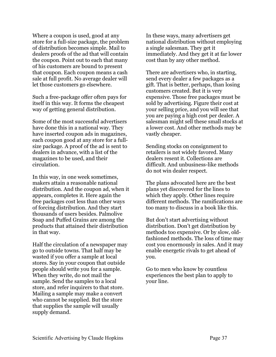Where a coupon is used, good at any store for a full-size package, the problem of distribution becomes simple. Mail to dealers proofs of the ad that will contain the coupon. Point out to each that many of his customers are bound to present that coupon. Each coupon means a cash sale at full profit. No average dealer will let those customers go elsewhere.

Such a free-package offer often pays for itself in this way. It forms the cheapest way of getting general distribution.

Some of the most successful advertisers have done this in a national way. They have inserted coupon ads in magazines, each coupon good at any store for a fullsize package. A proof of the ad is sent to dealers in advance, with a list of the magazines to be used, and their circulation.

In this way, in one week sometimes, makers attain a reasonable national distribution. And the coupon ad, when it appears, completes it. Here again the free packages cost less than other ways of forcing distribution. And they start thousands of users besides. Palmolive Soap and Puffed Grains are among the products that attained their distribution in that way.

Half the circulation of a newspaper may go to outside towns. That half may be wasted if you offer a sample at local stores. Say in your coupon that outside people should write you for a sample. When they write, do not mail the sample. Send the samples to a local store, and refer inquirers to that store. Mailing a sample may make a convert who cannot be supplied. But the store that supplies the sample will usually supply demand.

In these ways, many advertisers get national distribution without employing a single salesman. They get it immediately. And they get it at far lower cost than by any other method.

There are advertisers who, in starting, send every dealer a few packages as a gift. That is better, perhaps, than losing customers created. But it is very expensive. Those free packages must be sold by advertising. Figure their cost at your selling price, and you will see that you are paying a high cost per dealer. A salesman might sell these small stocks at a lower cost. And other methods may be vastly cheaper.

Sending stocks on consignment to retailers is not widely favored. Many dealers resent it. Collections are difficult. And unbusiness-like methods do not win dealer respect.

The plans advocated here are the best plans yet discovered for the lines to which they apply. Other lines require different methods. The ramifications are too many to discuss in a book like this.

But don't start advertising without distribution. Don't get distribution by methods too expensive. Or by slow, oldfashioned methods. The loss of time may cost you enormously in sales. And it may enable energetic rivals to get ahead of you.

Go to men who know by countless experiences the best plan to apply to your line.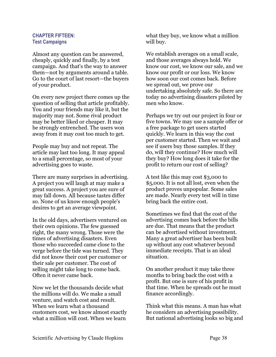# **CHAPTER FIFTEEN: Test Campaigns**

Almost any question can be answered, cheaply, quickly and finally, by a test campaign. And that's the way to answer them—not by arguments around a table. Go to the court of last resort—the buyers of your product.

On every new project there comes up the question of selling that article profitably. You and your friends may like it, but the majority may not. Some rival product may be better liked or cheaper. It may be strongly entrenched. The users won away from it may cost too much to get.

People may buy and not repeat. The article may last too long. It may appeal to a small percentage, so most of your advertising goes to waste.

There are many surprises in advertising. A project you will laugh at may make a great success. A project you are sure of may fall down. All because tastes differ so. None of us know enough people's desires to get an average viewpoint.

In the old days, advertisers ventured on their own opinions. The few guessed right, the many wrong. Those were the times of advertising disasters. Even those who succeeded came close to the verge before the tide was turned. They did not know their cost per customer or their sale per customer. The cost of selling might take long to come back. Often it never came back.

Now we let the thousands decide what the millions will do. We make a small venture, and watch cost and result. When we learn what a thousand customers cost, we know almost exactly what a million will cost. When we learn

what they buy, we know what a million will buy.

We establish averages on a small scale, and those averages always hold. We know our cost, we know our sale, and we know our profit or our loss. We know how soon our cost comes back. Before we spread out, we prove our undertaking absolutely safe. So there are today no advertising disasters piloted by men who know.

Perhaps we try out our project in four or five towns. We may use a sample offer or a free package to get users started quickly. We learn in this way the cost per customer started. Then we wait and see if users buy those samples. If they do, will they continue? How much will they buy? How long does it take for the profit to return our cost of selling?

A test like this may cost \$3,000 to \$5,000. It is not all lost, even when the product proves unpopular. Some sales are made. Nearly every test will in time bring back the entire cost.

Sometimes we find that the cost of the advertising comes back before the bills are due. That means that the product can be advertised without investment. Many a great advertiser has been built up without any cost whatever beyond immediate receipts. That is an ideal situation.

On another product it may take three months to bring back the cost with a profit. But one is sure of his profit in that time. When he spreads out he must finance accordingly.

Think what this means. A man has what he considers an advertising possibility. But national advertising looks so big and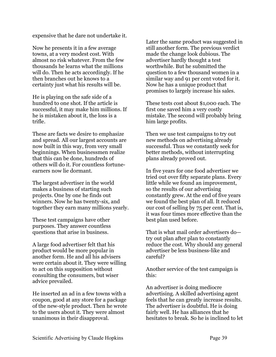expensive that he dare not undertake it.

Now he presents it in a few average towns, at a very modest cost. With almost no risk whatever. From the few thousands he learns what the millions will do. Then he acts accordingly. If he then branches out he knows to a certainty just what his results will be.

He is playing on the safe side of a hundred to one shot. If the article is successful, it may make him millions. If he is mistaken about it, the loss is a trifle.

These are facts we desire to emphasize and spread. All our largest accounts are now built in this way, from very small beginnings. When businessmen realize that this can be done, hundreds of others will do it. For countless fortuneearners now lie dormant.

The largest advertiser in the world makes a business of starting such projects. One by one he finds out winners. Now he has twenty-six, and together they earn many millions yearly.

These test campaigns have other purposes. They answer countless questions that arise in business.

A large food advertiser felt that his product would be more popular in another form. He and all his advisers were certain about it. They were willing to act on this supposition without consulting the consumers, but wiser advice prevailed.

He inserted an ad in a few towns with a coupon, good at any store for a package of the new-style product. Then he wrote to the users about it. They were almost unanimous in their disapproval.

Later the same product was suggested in still another form. The previous verdict made the change look dubious. The advertiser hardly thought a test worthwhile. But he submitted the question to a few thousand women in a similar way and 91 per cent voted for it. Now he has a unique product that promises to largely increase his sales.

These tests cost about \$1,000 each. The first one saved him a very costly mistake. The second will probably bring him large profits.

Then we use test campaigns to try out new methods on advertising already successful. Thus we constantly seek for better methods, without interrupting plans already proved out.

In five years for one food advertiser we tried out over fifty separate plans. Every little while we found an improvement, so the results of our advertising constantly grew. At the end of five years we found the best plan of all. It reduced our cost of selling by 75 per cent. That is, it was four times more effective than the best plan used before.

That is what mail order advertisers do try out plan after plan to constantly reduce the cost. Why should any general advertiser be less business-like and careful?

Another service of the test campaign is this:

An advertiser is doing mediocre advertising. A skilled advertising agent feels that he can greatly increase results. The advertiser is doubtful. He is doing fairly well. He has alliances that he hesitates to break. So he is inclined to let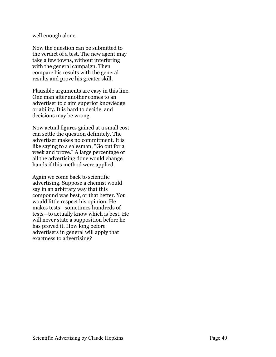well enough alone.

Now the question can be submitted to the verdict of a test. The new agent may take a few towns, without interfering with the general campaign. Then compare his results with the general results and prove his greater skill.

Plausible arguments are easy in this line. One man after another comes to an advertiser to claim superior knowledge or ability. It is hard to decide, and decisions may be wrong.

Now actual figures gained at a small cost can settle the question definitely. The advertiser makes no commitment. It is like saying to a salesman, "Go out for a week and prove." A large percentage of all the advertising done would change hands if this method were applied.

Again we come back to scientific advertising. Suppose a chemist would say in an arbitrary way that this compound was best, or that better. You would little respect his opinion. He makes tests—sometimes hundreds of tests—to actually know which is best. He will never state a supposition before he has proved it. How long before advertisers in general will apply that exactness to advertising?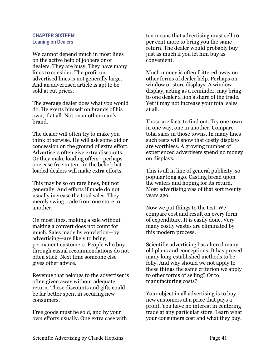# **CHAPTER SIXTEEN: Leaning on Dealers**

We cannot depend much in most lines on the active help of jobbers or of dealers. They are busy. They have many lines to consider. The profit on advertised lines is not generally large. And an advertised article is apt to be sold at cut prices.

The average dealer does what you would do. He exerts himself on brands of his own, if at all. Not on another man's brand.

The dealer will often try to make you think otherwise. He will ask some aid or concession on the ground of extra effort. Advertisers often give extra discounts. Or they make loading offers—perhaps one case free in ten—in the belief that loaded dealers will make extra efforts.

This may be so on rare lines, but not generally. And efforts if made do not usually increase the total sales. They merely swing trade from one store to another.

On most lines, making a sale without making a convert does not count for much. Sales made by conviction—by advertising—are likely to bring permanent customers. People who buy through casual recommendations do not often stick. Next time someone else gives other advice.

Revenue that belongs to the advertiser is often given away without adequate return. These discounts and gifts could be far better spent in securing new consumers.

Free goods must be sold, and by your own efforts usually. One extra case with

ten means that advertising must sell 10 per cent more to bring you the same return. The dealer would probably buy just as much if you let him buy as convenient.

Much money is often frittered away on other forms of dealer help. Perhaps on window or store displays. A window display, acting as a reminder, may bring to one dealer a lion's share of the trade. Yet it may not increase your total sales at all.

Those are facts to find out. Try one town in one way, one in another. Compare total sales in those towns. In many lines such tests will show that costly displays are worthless. A growing number of experienced advertisers spend no money on displays.

This is all in line of general publicity, so popular long ago. Casting bread upon the waters and hoping for its return. Most advertising was of that sort twenty years ago.

Now we put things to the test. We compare cost and result on every form of expenditure. It is easily done. Very many costly wastes are eliminated by this modern process.

Scientific advertising has altered many old plans and conceptions. It has proved many long-established methods to be folly. And why should we not apply to these things the same criterion we apply to other forms of selling? Or to manufacturing costs?

Your object in all advertising is to buy new customers at a price that pays a profit. You have no interest in centering trade at any particular store. Learn what your consumers cost and what they buy.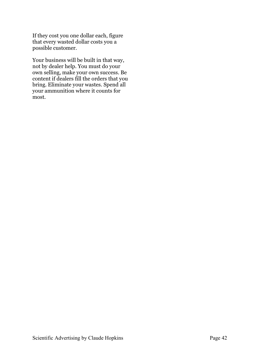If they cost you one dollar each, figure that every wasted dollar costs you a possible customer.

Your business will be built in that way, not by dealer help. You must do your own selling, make your own success. Be content if dealers fill the orders that you bring. Eliminate your wastes. Spend all your ammunition where it counts for most.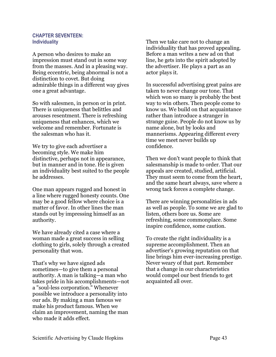### **CHAPTER SEVENTEEN: Individuality**

A person who desires to make an impression must stand out in some way from the masses. And in a pleasing way. Being eccentric, being abnormal is not a distinction to covet. But doing admirable things in a different way gives one a great advantage.

So with salesmen, in person or in print. There is uniqueness that belittles and arouses resentment. There is refreshing uniqueness that enhances, which we welcome and remember. Fortunate is the salesman who has it.

We try to give each advertiser a becoming style. We make him distinctive, perhaps not in appearance, but in manner and in tone. He is given an individuality best suited to the people he addresses.

One man appears rugged and honest in a line where rugged honesty counts. One may be a good fellow where choice is a matter of favor. In other lines the man stands out by impressing himself as an authority.

We have already cited a case where a woman made a great success in selling clothing to girls, solely through a created personality that won.

That's why we have signed ads sometimes—to give them a personal authority. A man is talking—a man who takes pride in his accomplishments—not a "soul-less corporation." Whenever possible we introduce a personality into our ads. By making a man famous we make his product famous. When we claim an improvement, naming the man who made it adds effect.

Then we take care not to change an individuality that has proved appealing. Before a man writes a new ad on that line, he gets into the spirit adopted by the advertiser. He plays a part as an actor plays it.

In successful advertising great pains are taken to never change our tone. That which won so many is probably the best way to win others. Then people come to know us. We build on that acquaintance rather than introduce a stranger in strange guise. People do not know us by name alone, but by looks and mannerisms. Appearing different every time we meet never builds up confidence.

Then we don't want people to think that salesmanship is made to order. That our appeals are created, studied, artificial. They must seem to come from the heart, and the same heart always, save where a wrong tack forces a complete change.

There are winning personalities in ads as well as people. To some we are glad to listen, others bore us. Some are refreshing, some commonplace. Some inspire confidence, some caution.

To create the right individuality is a supreme accomplishment. Then an advertiser's growing reputation on that line brings him ever-increasing prestige. Never weary of that part. Remember that a change in our characteristics would compel our best friends to get acquainted all over.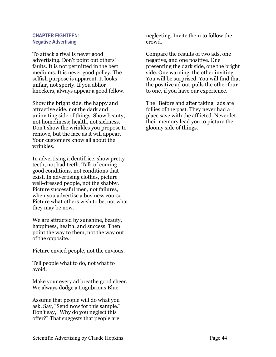# **CHAPTER EIGHTEEN: Negative Advertising**

To attack a rival is never good advertising. Don't point out others' faults. It is not permitted in the best mediums. It is never good policy. The selfish purpose is apparent. It looks unfair, not sporty. If you abhor knockers, always appear a good fellow.

Show the bright side, the happy and attractive side, not the dark and uninviting side of things. Show beauty, not homeliness; health, not sickness. Don't show the wrinkles you propose to remove, but the face as it will appear. Your customers know all about the wrinkles.

In advertising a dentifrice, show pretty teeth, not bad teeth. Talk of coming good conditions, not conditions that exist. In advertising clothes, picture well-dressed people, not the shabby. Picture successful men, not failures, when you advertise a business course. Picture what others wish to be, not what they may be now.

We are attracted by sunshine, beauty, happiness, health, and success. Then point the way to them, not the way out of the opposite.

Picture envied people, not the envious.

Tell people what to do, not what to avoid.

Make your every ad breathe good cheer. We always dodge a Lugubrious Blue.

Assume that people will do what you ask. Say, "Send now for this sample." Don't say, "Why do you neglect this offer?" That suggests that people are

neglecting. Invite them to follow the crowd.

Compare the results of two ads, one negative, and one positive. One presenting the dark side, one the bright side. One warning, the other inviting. You will be surprised. You will find that the positive ad out-pulls the other four to one, if you have our experience.

The "Before and after taking" ads are follies of the past. They never had a place save with the afflicted. Never let their memory lead you to picture the gloomy side of things.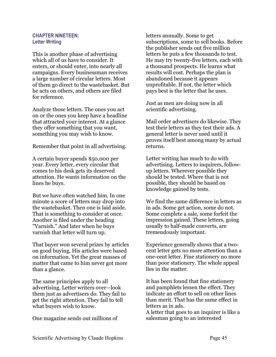# **CHAPTER NINETEEN: Letter Writing**

This is another phase of advertising which all of us have to consider. It enters, or should enter, into nearly all campaigns. Every businessman receives a large number of circular letters. Most of them go direct to the wastebasket. But he acts on others, and others are filed for reference.

Analyze those letters. The ones you act on or the ones you keep have a headline that attracted your interest. At a glance they offer something that you want, something you may wish to know.

Remember that point in all advertising.

A certain buyer spends \$50,000 per year. Every letter, every circular that comes to his desk gets its deserved attention. He wants information on the lines he buys.

But we have often watched him. In one minute a score of letters may drop into the wastebasket. Then one is laid aside. That is something to consider at once. Another is filed under the heading "Varnish." And later when he buys varnish that letter will turn up.

That buyer won several prizes by articles on good buying. His articles were based on information. Yet the great masses of matter that came to him never got more than a glance.

The same principles apply to all advertising. Letter writers over—look them just as advertisers do. They fail to get the right attention. They fail to tell what buyers wish to know.

One magazine sends out millions of

letters annually. Some to get subscriptions, some to sell books. Before the publisher sends out five million letters he puts a few thousands to test. He may try twenty-five letters, each with a thousand prospects. He learns what results will cost. Perhaps the plan is abandoned because it appears unprofitable. If not, the letter which pays best is the letter that he uses.

Just as men are doing now in all scientific advertising.

Mail order advertisers do likewise. They test their letters as they test their ads. A general letter is never used until it proves itself best among many by actual returns.

Letter writing has much to do with advertising. Letters to inquirers, followup letters. Wherever possible they should be tested. Where that is not possible, they should be based on knowledge gained by tests.

We find the same difference in letters as in ads. Some get action, some do not. Some complete a sale, some forfeit the impression gained. These letters, going usually to half-made converts, are tremendously important.

Experience generally shows that a twocent letter gets no more attention than a one-cent letter. Fine stationery no more than poor stationery. The whole appeal lies in the matter.

It has been found that fine stationery and pamphlets lessen the effect. They indicate an effort to sell on other lines than merit. That has the same effect in letters as in ads.

A letter that goes to an inquirer is like a salesman going to an interested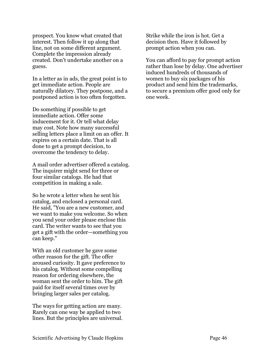prospect. You know what created that interest. Then follow it up along that line, not on some different argument. Complete the impression already created. Don't undertake another on a guess.

In a letter as in ads, the great point is to get immediate action. People are naturally dilatory. They postpone, and a postponed action is too often forgotten.

Do something if possible to get immediate action. Offer some inducement for it. Or tell what delay may cost. Note how many successful selling letters place a limit on an offer. It expires on a certain date. That is all done to get a prompt decision, to overcome the tendency to delay.

A mail order advertiser offered a catalog. The inquirer might send for three or four similar catalogs. He had that competition in making a sale.

So he wrote a letter when he sent his catalog, and enclosed a personal card. He said, "You are a new customer, and we want to make you welcome. So when you send your order please enclose this card. The writer wants to see that you get a gift with the order—something you can keep."

With an old customer he gave some other reason for the gift. The offer aroused curiosity. It gave preference to his catalog. Without some compelling reason for ordering elsewhere, the woman sent the order to him. The gift paid for itself several times over by bringing larger sales per catalog.

The ways for getting action are many. Rarely can one way be applied to two lines. But the principles are universal.

Strike while the iron is hot. Get a decision then. Have it followed by prompt action when you can.

You can afford to pay for prompt action rather than lose by delay. One advertiser induced hundreds of thousands of women to buy six packages of his product and send him the trademarks, to secure a premium offer good only for one week.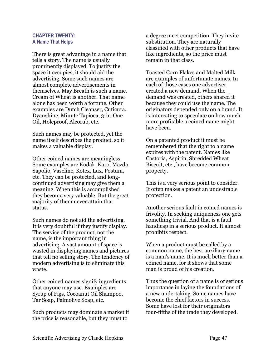# **CHAPTER TWENTY: A Name That Helps**

There is great advantage in a name that tells a story. The name is usually prominently displayed. To justify the space it occupies, it should aid the advertising. Some such names are almost complete advertisements in themselves. May Breath is such a name. Cream of Wheat is another. That name alone has been worth a fortune. Other examples are Dutch Cleanser, Cuticura, Dyanshine, Minute Tapioca, 3-in-One Oil, Holeproof, Alcorub, etc.

Such names may be protected, yet the name itself describes the product, so it makes a valuable display.

Other coined names are meaningless. Some examples are Kodak, Karo, Mazda, Sapolio, Vaseline, Kotex, Lux, Postum, etc. They can be protected, and longcontinued advertising may give them a meaning. When this is accomplished they become very valuable. But the great majority of them never attain that status.

Such names do not aid the advertising. It is very doubtful if they justify display. The service of the product, not the name, is the important thing in advertising. A vast amount of space is wasted in displaying names and pictures that tell no selling story. The tendency of modern advertising is to eliminate this waste.

Other coined names signify ingredients that anyone may use. Examples are Syrup of Figs, Cocoanut Oil Shampoo, Tar Soap, Palmolive Soap, etc.

Such products may dominate a market if the price is reasonable, but they must to

a degree meet competition. They invite substitution. They are naturally classified with other products that have like ingredients, so the price must remain in that class.

Toasted Corn Flakes and Malted Milk are examples of unfortunate names. In each of those cases one advertiser created a new demand. When the demand was created, others shared it because they could use the name. The originators depended only on a brand. It is interesting to speculate on how much more profitable a coined name might have been.

On a patented product it must be remembered that the right to a name expires with the patent. Names like Castoria, Aspirin, Shredded Wheat Biscuit, etc., have become common property.

This is a very serious point to consider. It often makes a patent an undesirable protection.

Another serious fault in coined names is frivolity. In seeking uniqueness one gets something trivial. And that is a fatal handicap in a serious product. It almost prohibits respect.

When a product must be called by a common name, the best auxiliary name is a man's name. It is much better than a coined name, for it shows that some man is proud of his creation.

Thus the question of a name is of serious importance in laying the foundations of a new undertaking. Some names have become the chief factors in success. Some have lost for their originators four-fifths of the trade they developed.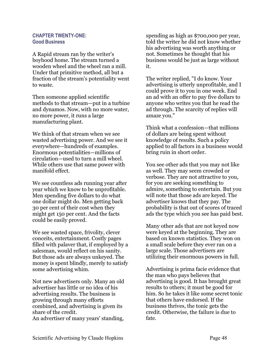## **CHAPTER TWENTY-ONE: Good Business**

A Rapid stream ran by the writer's boyhood home. The stream turned a wooden wheel and the wheel ran a mill. Under that primitive method, all but a fraction of the stream's potentiality went to waste.

Then someone applied scientific methods to that stream—put in a turbine and dynamos. Now, with no more water, no more power, it runs a large manufacturing plant.

We think of that stream when we see wasted advertising power. And we see it everywhere—hundreds of examples. Enormous potentialities—millions of circulation—used to turn a mill wheel. While others use that same power with manifold effect.

We see countless ads running year after year which we know to be unprofitable. Men spending five dollars to do what one dollar might do. Men getting back 30 per cent of their cost when they might get 150 per cent. And the facts could be easily proved.

We see wasted space, frivolity, clever conceits, entertainment. Costly pages filled with palaver that, if employed by a salesman, would reflect on his sanity. But those ads are always unkeyed. The money is spent blindly, merely to satisfy some advertising whim.

Not new advertisers only. Many an old advertiser has little or no idea of his advertising results. The business is growing through many efforts combined, and advertising is given its share of the credit. An advertiser of many years' standing,

spending as high as \$700,000 per year, told the writer he did not know whether his advertising was worth anything or not. Sometimes he thought that his business would be just as large without it.

The writer replied, "I do know. Your advertising is utterly unprofitable, and I could prove it to you in one week. End an ad with an offer to pay five dollars to anyone who writes you that he read the ad through. The scarcity of replies will amaze you."

Think what a confession—that millions of dollars are being spent without knowledge of results. Such a policy applied to all factors in a business would bring ruin in short order.

You see other ads that you may not like as well. They may seem crowded or verbose. They are not attractive to you, for you are seeking something to admire, something to entertain. But you will note that those ads are keyed. The advertiser knows that they pay. The probability is that out of scores of traced ads the type which you see has paid best.

Many other ads that are not keyed now were keyed at the beginning. They are based on known statistics. They won on a small scale before they ever ran on a large scale. Those advertisers are utilizing their enormous powers in full.

Advertising is prima facie evidence that the man who pays believes that advertising is good. It has brought great results to others; it must be good for him. So he takes it like some secret tonic that others have endorsed. If the business thrives, the tonic gets the credit. Otherwise, the failure is due to fate.